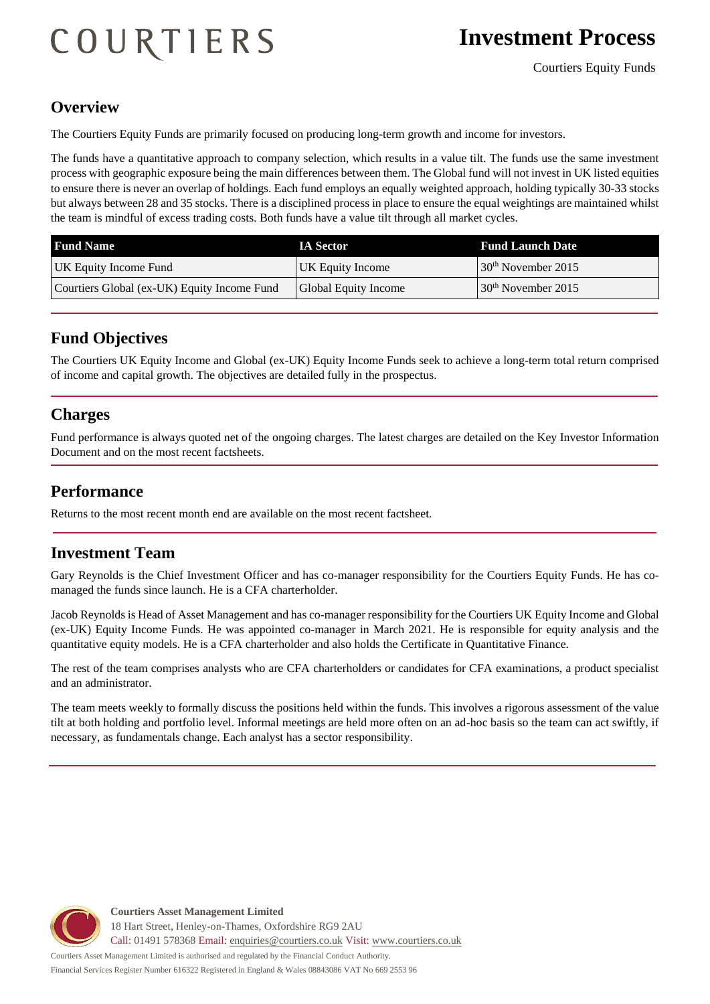# COURTIERS

#### **Overview**

The Courtiers Equity Funds are primarily focused on producing long-term growth and income for investors.

The funds have a quantitative approach to company selection, which results in a value tilt. The funds use the same investment process with geographic exposure being the main differences between them. The Global fund will not invest in UK listed equities to ensure there is never an overlap of holdings. Each fund employs an equally weighted approach, holding typically 30-33 stocks but always between 28 and 35 stocks. There is a disciplined process in place to ensure the equal weightings are maintained whilst the team is mindful of excess trading costs. Both funds have a value tilt through all market cycles.

| <b>Fund Name</b>                            | <b>IA Sector</b>            | <b>Fund Launch Date</b> |
|---------------------------------------------|-----------------------------|-------------------------|
| UK Equity Income Fund                       | UK Equity Income            | $30th$ November 2015    |
| Courtiers Global (ex-UK) Equity Income Fund | <b>Global Equity Income</b> | $30th$ November 2015    |

## **Fund Objectives**

The Courtiers UK Equity Income and Global (ex-UK) Equity Income Funds seek to achieve a long-term total return comprised of income and capital growth. The objectives are detailed fully in the prospectus.

## **Charges**

Fund performance is always quoted net of the ongoing charges. The latest charges are detailed on the Key Investor Information Document and on the most recent factsheets.

#### **Performance**

Returns to the most recent month end are available on the most recent factsheet.

#### **Investment Team**

Gary Reynolds is the Chief Investment Officer and has co-manager responsibility for the Courtiers Equity Funds. He has comanaged the funds since launch. He is a CFA charterholder.

Jacob Reynolds is Head of Asset Management and has co-manager responsibility for the Courtiers UK Equity Income and Global (ex-UK) Equity Income Funds. He was appointed co-manager in March 2021. He is responsible for equity analysis and the quantitative equity models. He is a CFA charterholder and also holds the Certificate in Quantitative Finance.

The rest of the team comprises analysts who are CFA charterholders or candidates for CFA examinations, a product specialist and an administrator.

The team meets weekly to formally discuss the positions held within the funds. This involves a rigorous assessment of the value tilt at both holding and portfolio level. Informal meetings are held more often on an ad-hoc basis so the team can act swiftly, if necessary, as fundamentals change. Each analyst has a sector responsibility.



**Courtiers Asset Management Limited** 18 Hart Street, Henley-on-Thames, Oxfordshire RG9 2AU Call: 01491 578368 Email: [enquiries@courtiers.co.uk](mailto:enquiries@courtiers.co.uk) Visit: [www.courtiers.co.uk](http://www.courtiers.co.uk/)

Courtiers Asset Management Limited is authorised and regulated by the Financial Conduct Authority. Financial Services Register Number 616322 Registered in England & Wales 08843086 VAT No 669 2553 96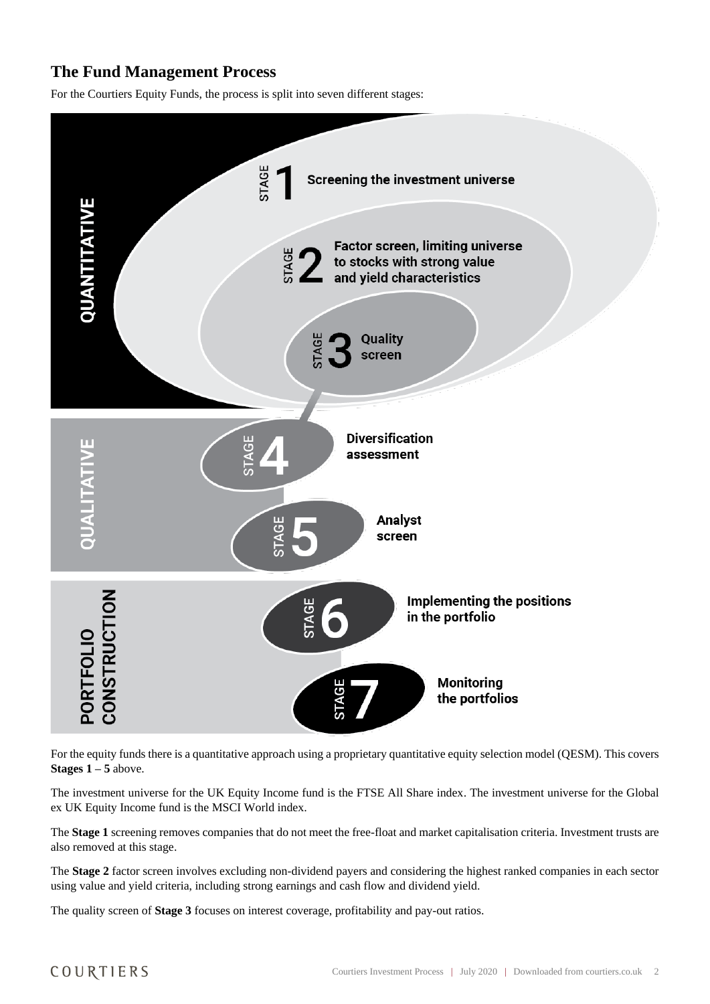## **The Fund Management Process**

For the Courtiers Equity Funds, the process is split into seven different stages:



For the equity funds there is a quantitative approach using a proprietary quantitative equity selection model (QESM). This covers **Stages**  $1 - 5$  **above.** 

The investment universe for the UK Equity Income fund is the FTSE All Share index. The investment universe for the Global ex UK Equity Income fund is the MSCI World index.

The **Stage 1** screening removes companies that do not meet the free-float and market capitalisation criteria. Investment trusts are also removed at this stage.

The **Stage 2** factor screen involves excluding non-dividend payers and considering the highest ranked companies in each sector using value and yield criteria, including strong earnings and cash flow and dividend yield.

The quality screen of **Stage 3** focuses on interest coverage, profitability and pay-out ratios.